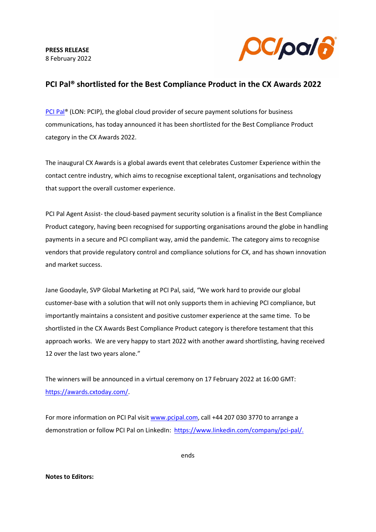**PRESS RELEASE** 8 February 2022



## **PCI Pal® shortlisted for the Best Compliance Product in the CX Awards 2022**

PCI Pal<sup>®</sup> (LON: PCIP), the global cloud provider of secure payment solutions for business communications, has today announced it has been shortlisted for the Best Compliance Product category in the CX Awards 2022.

The inaugural CX Awards is a global awards event that celebrates Customer Experience within the contact centre industry, which aims to recognise exceptional talent, organisations and technology that support the overall customer experience.

PCI Pal Agent Assist- the cloud-based payment security solution is a finalist in the Best Compliance Product category, having been recognised for supporting organisations around the globe in handling payments in a secure and PCI compliant way, amid the pandemic. The category aims to recognise vendors that provide regulatory control and compliance solutions for CX, and has shown innovation and market success.

Jane Goodayle, SVP Global Marketing at PCI Pal, said, "We work hard to provide our global customer-base with a solution that will not only supports them in achieving PCI compliance, but importantly maintains a consistent and positive customer experience at the same time. To be shortlisted in the CX Awards Best Compliance Product category is therefore testament that this approach works. We are very happy to start 2022 with another award shortlisting, having received 12 over the last two years alone."

The winners will be announced in a virtual ceremony on 17 February 2022 at 16:00 GMT: [https://awards.cxtoday.com/.](https://awards.cxtoday.com/)

For more information on PCI Pal visi[t www.pcipal.com,](http://www.pcipal.com/) call +44 207 030 3770 to arrange a demonstration or follow PCI Pal on LinkedIn: [https://www.linkedin.com/company/pci-pal/.](https://www.linkedin.com/company/pci-pal/)

ends

## **Notes to Editors:**